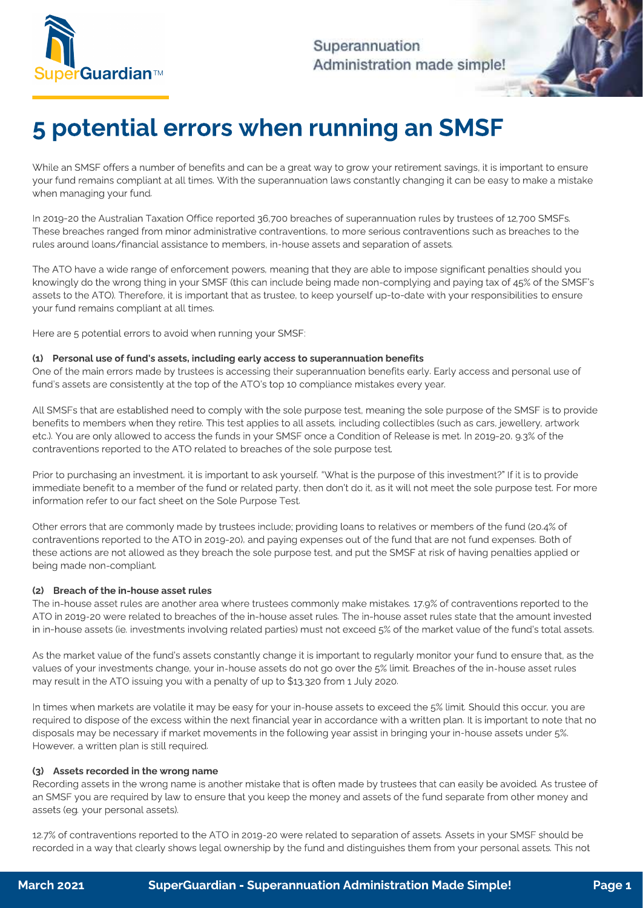

Superannuation Administration made simple!

# 5 potential errors when running an SMSF

While an SMSF offers a number of benefits and can be a great way to grow  $\frac{1}{2}$  in  $\frac{1}{2}$  in  $\frac{1}{2}$  in  $\frac{1}{2}$  in  $\frac{1}{2}$  in  $\frac{1}{2}$  in  $\frac{1}{2}$  in  $\frac{1}{2}$  in  $\frac{1}{2}$  in  $\frac{1}{2}$  in  $\frac{1}{2}$  in  $\frac{1$ your fund remains compliant at all times. With the supermannuation laws constantly changing it can be easy to make a mistake when managing your fund.

In 2019-20 the Australian Taxation Office reported 36,700 breaches of superannuation rules by trustees of 12,700 SMSFs.<br>These breaches ranged from minor administrative contraventions, to more serious contraventions such as these breaches ranged from ministers ranged from ministers ranged from ministers ranged from ministers and the<br>These produces to the more such as breaches to the more serious contractions of assets rules around loans/financial assistance to members, in-house assets and separation of assets.

The ATO have a wide range of enforcement powers, meaning that they are able to impose significant penalties should you<br>knowingly do the wrong thing in your SMSF (this can include being made non-complying and paying tax of assets to the ATO). Therefore, it is important that as trustee, to keep yourself up-to-date with your responsibilities to ensure assets to the ATO). The ATO is interested to the ATO is interested with your responsibilities to the  $\alpha$ your fund remains compliant at all times.

 $\mathcal{F}_{\mathcal{D}}$  potential errors to avoid when running your SMSF:

#### (1) Personal use of fund's assets, including early access to superannuation benefits

One of the main errors made by trustees is accessing their superannuation benefits early. Early access and personal use of<br>fund's assets are consistently at the top of the ATO's top 10 compliance mistakes every year. fund's assets are consistently at the top of the ATO's top 10 compliance mistakes every year.

All SMSFs that are established need to comply with the sole purpose test, meaning the sole purpose of the SMSF is to provide<br>benefits to members when they retire. This test applies to all assets, including collectibles (su etc.). You are only allowed to access the funds in your SMSF once a Condition of Release is met. In 2019-20, 9.3% of the contraventions reported to the ATO related to broaches of the sele purpose test. contraventions reported to the ATO related to breaches of the sole purpose test.

Prior to purchasing an investment, it is important to ask yourself, "What is the purpose of this investment?" If it is to provide<br>immediate benefit to a member of the fund or related party, then don't do it, as it will not information refer to a method on the Sole Purpose  $T$ et. information refer to our fact sheet on the Sole Purpose Test.

Other errors that are commonly made by trustees include; providing loans to relatives or members of the fund (20.4% of<br>contraventions reported to the ATO in 2019-20), and paying expenses out of the fund that are not fund e contractions are not allowed as they broach the selections represented to the CMSE at rick of baying populies applied of  $\frac{1}{2}$  height are not allowed as the sole purpose test, and purpose test, and purpose test, and penalties applied or  $\mathcal{S}$ 

## (2) Breach of the in-house asset rules

The in-house asset rules are another area where trustees commonly make mistakes. 17.9% of contraventions reported to the<br>ATO in 2019-20 were related to breaches of the in-house asset rules. The in-house asset rules state t in in-house assets (ie. investments involving related parties) must not exceed 5% of the market value of the fund's total assets. in in-house assets (ie. investments involving related parties) must not exceed 5% of the market value of the fund's total assets.

As the market value of the fund's assets constantly change it is important to regularly monitor your fund to ensure that, as the<br>values of your investments change, your in-house assets do not go over the 5% limit. Breaches  $v_{\text{av}}$  is the ATO issuing values of your interest do not go over the  $\frac{1}{2}$  limit. Breaches of the in-house assets asset rules asset rules asset rules asset rules asset rules asset rules asset rules asset rules asse may result in the ATO issuing you with a penalty of up to \$13,320 from 1 July 2020.

In times when markets are volatile it may be easy for your in-house assets to exceed the 5% limit. Should this occur, you are<br>required to dispose of the excess within the next financial year in accordance with a written pl required to dispose of the excess with the excess with the excess with a written plan. It is important to note that  $\frac{1}{2}$ disposals may be necessary if may be necessary in the following year assets in bringing your in-house assets under 5%. However, a written plan is still required.

## (3) Assets recorded in the wrong name

 $R_{\text{R}}$  recording to wrong name is another mistake that is one is another mistake that is often made by trustees that  $\frac{1}{2}$  and  $\frac{1}{2}$  and  $\frac{1}{2}$  and  $\frac{1}{2}$  and  $\frac{1}{2}$  and  $\frac{1}{2}$  and  $\frac{1}{2}$  and  $\frac$ and SMSF you are required by law to ensure that you have positively and assets of the fund separate from other money and assets (eg. your personal assets).

12.7% of contraventions reported to the ATO in 2019-20 were related to separation of assets. Assets in your SMSF should be recorded in a way that clearly shows legal ownership by the fund and distinguishes them from your personal assets. This not